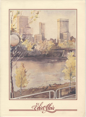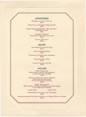# APPETIZERS

*Escargots served in* a *Brioche \$4.90* 

*Graved Lax, with Poached Egg and Dill*  \$6.95

*Glazed Duckling Ballantine "Mont Parnass" Lingonberry sauce \$5.80* 

*Froglegs "Chablise" simmered in cream and white wine \$5.70* 

> *Oysters "Dijonaise"*  \$6.55

### SOUPS

*Chef Haber/i's Green Pea Soup*  \$2.35

*Cream of Black Mussels \$3.80* 

*Consomme with Egg Yolk, and Sherry*  \$2.65

> *Gratinated Onion Soup*  \$3.25

*Cream of Tomato with Gin \$3.50* 

## SALADS

*Salad "Primavera" Butter lettuce, radiccio, and grapefruit*   $served with lemon$  dressing *\$3.60* 

*Tomato and Romaine lettuce "Hermes" with olives and {eta cheese, served with gourmet dressing*  \$3.85

*Salad "Exceptionell" Baby shrimps, romaine, cucumber and tomato wedges with* a *light* curry *dressing* 

*Small: \$5.25 Large: \$7.25* 

*Tossed Salad with your choice of dressing \$2.90* 

*Assorted seasonal Fruit plate with choice of Cottage Cheese* or *Sherbet*  \$6.35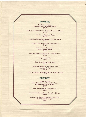### **ENTREES**

*Fresh Pickerel Filets pan fried, with roasted almonds \$10.70* 

*Filets of Sole stuffed with Salmon Mousse and Prawn*  \$11.85

> *Chicken and Shrimp Cajun \$12.80*

*Grilled Chicken Medallions with Lemon Sauce \$10.55* 

*Broiled Lamb Chops with Sesame Seeds*  \$12.75

> *Veal Emince "Zurichoise" with Roesti potatoes*  \$13.45

*Fettucine Verde Alfredo with Veal Medallions \$8.90* 

> *Seafood Omelette*  \$7.95

6 oz. *Roast Prime Rib of Beef \$10.85* 

*6 oz. of Charbroiled Tenderloin with Macademia Nuts*  \$12.65

*Fresh Vegetables, Poached Egg and Boiled Potatoes \$7.80* 

## DESSERT

*Coupe Maison Black Cherries and Vanilla Ice Cream presented in a wafer basket \$3.20* 

*Cream Caramel on Orange Sauce*  \$3.35

*Assortment of French and Canadian Cheeses \$5.80* 

*Selection of Cakes, Tortes and Fresh Fruit from the Pastry Wagon \$3.60*